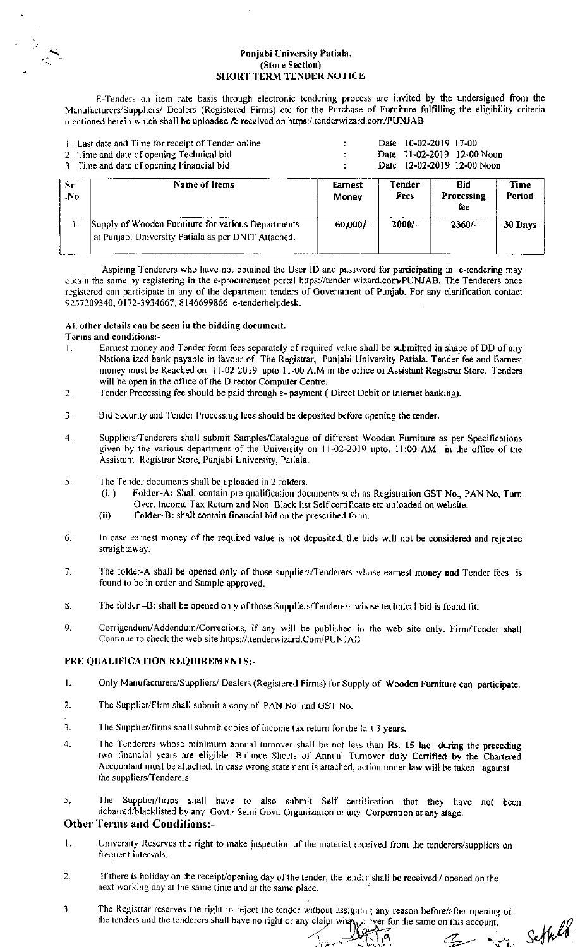### Punjabi University Patiala. (Store Section) **SHORT TERM TENDER NOTICE**

E-Tenders on item rate basis through electronic tendering process are invited by the undersigned from the Manufacturers/Suppliers/ Dealers (Registered Firms) etc for the Purchase of Furniture fulfilling the eligibility criteria mentioned herein which shall be uploaded & received on https:/.tenderwizard.com/PUNJAB

|            | 1. Last date and Time for receipt of Tender online<br>2. Time and date of opening Technical bid<br>3 Time and date of opening Financial bid |                  | Date 10-02-2019 17-00<br>11-02-2019 12-00 Noon<br>Date<br>Date 12-02-2019 12-00 Noon |                          |                |  |
|------------|---------------------------------------------------------------------------------------------------------------------------------------------|------------------|--------------------------------------------------------------------------------------|--------------------------|----------------|--|
| -Sr<br>.No | Name of Items                                                                                                                               | Earnest<br>Money | <b>Tender</b><br>Fees                                                                | Bid<br>Processing<br>fee | Time<br>Period |  |
|            | Supply of Wooden Furniture for various Departments<br>at Punjabi University Patiala as per DNIT Attached.                                   | 60,000/-         | $2000 -$                                                                             | $2360/-$                 | 30 Days        |  |

Aspiring Tenderers who have not obtained the User ID and password for participating in e-tendering may obtain the same by registering in the e-procurement portal https://tender wizard.com/PUNJAB. The Tenderers once registered can participate in any of the department tenders of Government of Punjab. For any clarification contact 9257209340, 0172-3934667, 8146699866 e-tenderhelpdesk.

### All other details can be seen in the bidding document.

## Terms and conditions:-

- Earnest money and Tender form fees separately of required value shall be submitted in shape of DD of any Nationalized bank payable in favour of The Registrar, Punjabi University Patiala. Tender fee and Earnest  $\mathbf{L}$ money must be Reached on 11-02-2019 upto 11-00 A.M in the office of Assistant Registrar Store. Tenders will be open in the office of the Director Computer Centre.
- $\overline{2}$ . Tender Processing fee should be paid through e- payment ( Direct Debit or Internet banking).
- $\overline{3}$ . Bid Security and Tender Processing fees should be deposited before opening the tender.
- Suppliers/Tenderers shall submit Samples/Catalogue of different Wooden Furniture as per Specifications  $\blacktriangle$ given by the various department of the University on 11-02-2019 upto. 11:00 AM in the office of the Assistant Registrar Store, Punjabi University, Patiala.
- The Tender documents shall be uploaded in 2 folders. 5.
	- Folder-A: Shall contain pre qualification documents such as Registration GST No., PAN No, Turn  $(i, )$ Over, Income Tax Return and Non Black list Self certificate etc uploaded on website.
	- $(ii)$ Folder-B: shall contain financial bid on the prescribed form.
- In case earnest money of the required value is not deposited, the bids will not be considered and rejected 6. straightaway.
- 7. The folder-A shall be opened only of those suppliers/Tenderers whose earnest money and Tender fees is found to be in order and Sample approved.
- 8. The folder -B: shall be opened only of those Suppliers/Tenderers whose technical bid is found fit.
- 9. Corrigendum/Addendum/Corrections, if any will be published in the web site only. Firm/Tender shall Continue to check the web site https://.tenderwizard.Com/PUNJAD

### PRE-QUALIFICATION REQUIREMENTS:-

- Only Manufacturers/Suppliers/ Dealers (Registered Firms) for Supply of Wooden Furniture can participate.  $\mathbf{L}$
- The Supplier/Firm shall submit a copy of PAN No. and GST No.  $\mathcal{P}$
- The Supplier/firms shall submit copies of income tax return for the last 3 years.  $\mathbf{R}$
- $4.$ The Tenderers whose minimum annual turnover shall be not less than Rs. 15 lac during the preceding two financial years are eligible. Balance Sheets of Annual Turnover duly Certified by the Chartered Accountant must be attached. In case wrong statement is attached, action under law will be taken against the suppliers/Tenderers.
- The Supplier/firms shall have to also submit Self certification that they have not been  $\bar{5}$ . debarred/blacklisted by any Govt./ Semi Govt. Organization or any Corporation at any stage.

## **Other Terms and Conditions:-**

- University Reserves the right to make jnspection of the material received from the tenderers/suppliers on Ι. frequent intervals.
- $\overline{2}$ . If there is holiday on the receipt/opening day of the tender, the tender shall be received / opened on the next working day at the same time and at the same place.
- 3. The Registrar reserves the right to reject the tender without assigning any reason before/after opening of the tenders and the tenderers shall have no right or any claim what when yer for the same on this account.

Settel

 $\mathcal{C}_{\mathbf{z}}$ 

\ را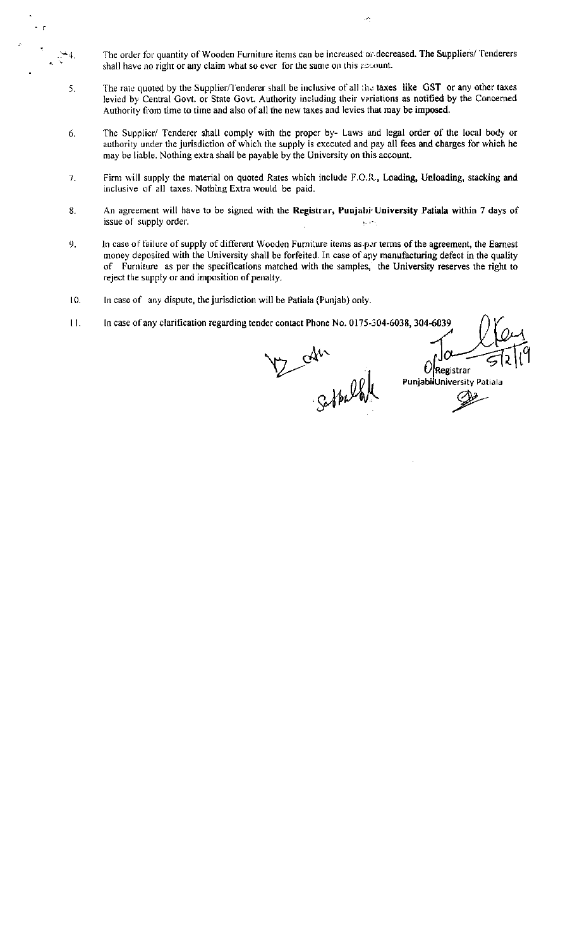The order for quantity of Wooden Furniture items can be increased or decreased. The Suppliers/ Tenderers shall have no right or any claim what so ever for the same on this account.

 $\mathcal{A}_1$ 

- The rate quoted by the Supplier/Tenderer shall be inclusive of all the taxes like GST or any other taxes 5. levied by Central Govt. or State Govt. Authority including their veriations as notified by the Concerned Authority from time to time and also of all the new taxes and levies that may be imposed.
- The Supplier/ Tenderer shall comply with the proper by- Laws and legal order of the local body or 6. authority under the jurisdiction of which the supply is executed and pay all fees and charges for which he may be liable. Nothing extra shall be payable by the University on this account.
- Firm will supply the material on quoted Rates which include F.O.R., Loading, Unloading, stacking and  $7.$ inclusive of all taxes. Nothing Extra would be paid.
- An agreement will have to be signed with the Registrar, Punjabi University Patiala within 7 days of  $8.$ issue of supply order.  $\mathcal{U}_\mathrm{c} \in \mathbb{R}^3$
- $9<sub>1</sub>$ In case of failure of supply of different Wooden Furniture items as per terms of the agreement, the Earnest money deposited with the University shall be forfeited. In case of any manufacturing defect in the quality of Furniture as per the specifications matched with the samples, the University reserves the right to reject the supply or and imposition of penalty.
- In case of any dispute, the jurisdiction will be Patiala (Punjab) only. 10.

 $\mathbb{R}^{\frac{1}{2}}$ 

In case of any clarification regarding tender contact Phone No. 0175-304-6038, 304-6039  $11.$ 

V2 can

 $\mathcal{O}$ Registrar PunjabilUniversity Patiala Øг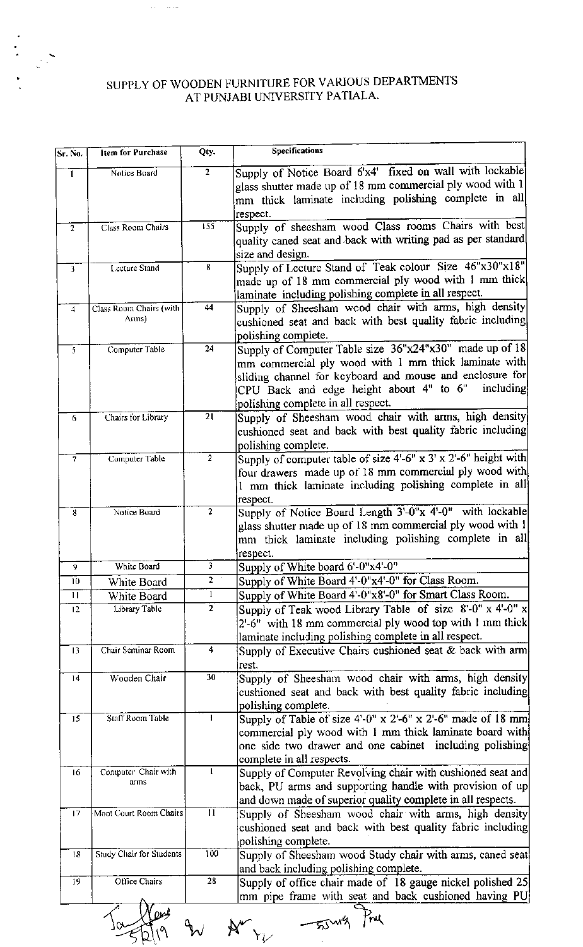# SUPPLY OF WOODEN FURNITURE FOR VARIOUS DEPARTMENTS AT PUNJABI UNIVERSITY PATIALA.

ستشارك

 $\frac{1}{2}$ 

 $\mathbb{R}^2$ 

| Sr. No.        | <b>Item for Purchase</b> | Qty.           | <b>Specifications</b>                                                 |
|----------------|--------------------------|----------------|-----------------------------------------------------------------------|
| 1              | Notice Board             | $\overline{2}$ | Supply of Notice Board 6'x4' fixed on wall with lockable              |
|                |                          |                | glass shutter made up of 18 mm commercial ply wood with 1             |
|                |                          |                | mm thick laminate including polishing complete in all                 |
|                |                          |                | respect.                                                              |
| $\overline{2}$ | Class Room Chairs        | 155            | Supply of sheesham wood Class rooms Chairs with best                  |
|                |                          |                | quality caned seat and back with writing pad as per standard          |
|                |                          |                | size and design.                                                      |
| 3              | Lecture Stand            | 8              | Supply of Lecture Stand of Teak colour Size 46"x30"x18"               |
|                |                          |                | made up of 18 mm commercial ply wood with 1 mm thick                  |
|                |                          |                | laminate including polishing complete in all respect.                 |
| $\overline{4}$ | Class Room Chairs (with  | 44             | Supply of Sheesham wood chair with arms, high density                 |
|                | Arms)                    |                | cushioned seat and back with best quality fabric including            |
|                |                          |                | polishing complete.                                                   |
| 5.             | Computer Table           | 24             | Supply of Computer Table size 36"x24"x30" made up of 18               |
|                |                          |                | mm commercial ply wood with 1 mm thick laminate with                  |
|                |                          |                | sliding channel for keyboard and mouse and enclosure for              |
|                |                          |                | CPU Back and edge height about 4" to 6"<br>including                  |
|                |                          |                | polishing complete in all respect.                                    |
| 6              | Chairs for Library       | 21             | Supply of Sheesham wood chair with arms, high density                 |
|                |                          |                | cushioned seat and back with best quality fabric including            |
|                |                          |                | polishing complete.                                                   |
| $\overline{7}$ | Computer Table           | $\overline{2}$ | Supply of computer table of size $4-6''$ x $3'$ x $2-6''$ height with |
|                |                          |                | four drawers made up of 18 mm commercial ply wood with                |
|                |                          |                | 1 mm thick laminate including polishing complete in all               |
|                |                          |                | respect.                                                              |
| 8              | Notice Board             | $\overline{2}$ | Supply of Notice Board Length 3'-0"x 4'-0" with lockable              |
|                |                          |                | glass shutter made up of 18 mm commercial ply wood with 1             |
|                |                          |                | mm thick laminate including polishing complete in all                 |
|                |                          |                | respect.                                                              |
| 9.             | White Board              | 3              | Supply of White board 6'-0"x4'-0"                                     |
| 10             | White Board              | z.             | Supply of White Board 4'-0"x4'-0" for Class Room.                     |
| $\mathbf{1}$   | White Board              | $\mathbf{1}$   | Supply of White Board 4'-0"x8'-0" for Smart Class Room.               |
| 12             | Library Table            | $\overline{2}$ | Supply of Teak wood Library Table of size 8'-0" x 4'-0" x             |
|                |                          |                | 2'-6" with 18 mm commercial ply wood top with 1 mm thick              |
|                |                          |                | laminate including polishing complete in all respect.                 |
| 13             | Chair Seminar Room       | 4              | Supply of Executive Chairs cushioned seat & back with arm             |
|                |                          |                | rest.                                                                 |
| 14             | Wooden Chair             | 30             | Supply of Sheesham wood chair with arms, high density                 |
|                |                          |                | cushioned seat and back with best quality fabric including            |
|                |                          |                | polishing complete.                                                   |
| 15             | Staff Room Table         | Ł              | Supply of Table of size $4'-0''$ x $2'-6''$ x $2'-6''$ made of 18 mm  |
|                |                          |                | commercial ply wood with 1 mm thick laminate board with               |
|                |                          |                | one side two drawer and one cabinet including polishing               |
|                |                          |                | complete in all respects.                                             |
| 16             | Computer Chair with      | 1              | Supply of Computer Revolving chair with cushioned seat and            |
|                | arms                     |                | back, PU arms and supporting handle with provision of up              |
|                |                          |                | and down made of superior quality complete in all respects.           |
| 17             | Moot Court Room Chairs   | ΪĨ             | Supply of Sheesham wood chair with arms, high density                 |
|                |                          |                | cushioned seat and back with best quality fabric including            |
|                |                          |                | polishing complete.                                                   |
| 18             | Study Chair for Students | 100            | Supply of Sheesham wood Study chair with arms, caned seat             |
|                |                          |                | and back including polishing complete.                                |
| 19             | Office Chairs            | 28             | Supply of office chair made of 18 gauge nickel polished 25            |
|                |                          |                | mm pipe frame with seat and back cushioned having PU                  |

 $\frac{1}{10}$  and  $\frac{1}{10}$   $\frac{1}{10}$   $\frac{1}{10}$   $\frac{1}{10}$   $\frac{1}{10}$   $\frac{1}{10}$   $\frac{1}{10}$   $\frac{1}{10}$   $\frac{1}{10}$   $\frac{1}{10}$   $\frac{1}{10}$   $\frac{1}{10}$   $\frac{1}{10}$   $\frac{1}{10}$   $\frac{1}{10}$   $\frac{1}{10}$   $\frac{1}{10}$   $\frac{1}{10}$   $\frac{1}{10$